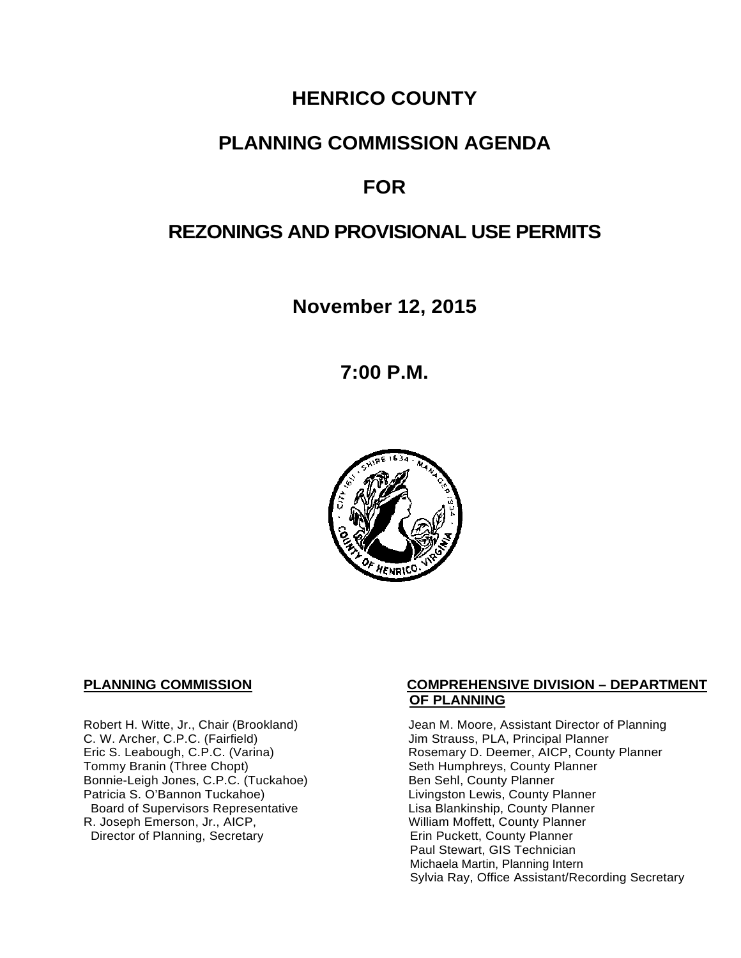# **HENRICO COUNTY**

## **PLANNING COMMISSION AGENDA**

## **FOR**

## **REZONINGS AND PROVISIONAL USE PERMITS**

**November 12, 2015**

**7:00 P.M.**



C. W. Archer, C.P.C. (Fairfield) and Summan Jim Strauss, PLA, Principal Planner<br>
Eric S. Leabough, C.P.C. (Varina) and Summan Rosemary D. Deemer, AICP, County Bonnie-Leigh Jones, C.P.C. (Tuckahoe)<br>Patricia S. O'Bannon Tuckahoe) Board of Supervisors Representative Lisa Blankinship, County Planner<br>R. Joseph Emerson, Jr., AICP, William Moffett, County Planner Director of Planning, Secretary

### **PLANNING COMMISSION COMPREHENSIVE DIVISION – DEPARTMENT OF PLANNING**

Robert H. Witte, Jr., Chair (Brookland) Jean M. Moore, Assistant Director of Planning<br>C. W. Archer, C.P.C. (Fairfield) Jim Strauss, PLA, Principal Planner Eric S. Leabough, C.P.C. (Varina) <br>Tommy Branin (Three Chopt) **Reading State State Seth Humphreys, County Planner** County Planner Seth Humphreys, County Planner<br>Ben Sehl, County Planner Livingston Lewis, County Planner William Moffett, County Planner<br>Erin Puckett, County Planner Paul Stewart, GIS Technician Michaela Martin, Planning Intern Sylvia Ray, Office Assistant/Recording Secretary